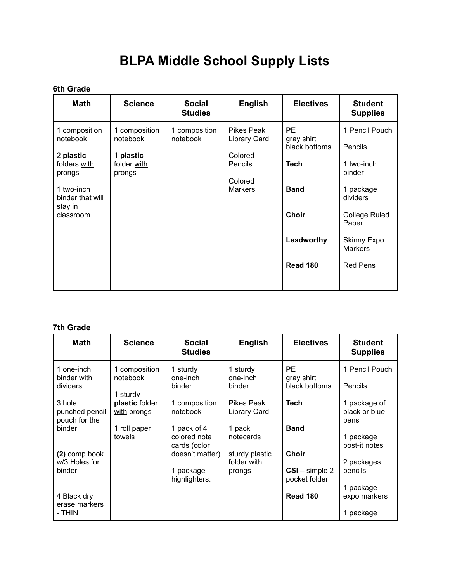## **BLPA Middle School Supply Lists**

## **6th Grade**

| <b>Math</b>                                                                                                                | <b>Science</b>                                                  | <b>Social</b><br><b>Studies</b> | <b>English</b>                                                                | <b>Electives</b>                                                                                                        | <b>Student</b><br><b>Supplies</b>                                                                                                                                      |
|----------------------------------------------------------------------------------------------------------------------------|-----------------------------------------------------------------|---------------------------------|-------------------------------------------------------------------------------|-------------------------------------------------------------------------------------------------------------------------|------------------------------------------------------------------------------------------------------------------------------------------------------------------------|
| 1 composition<br>notebook<br>2 plastic<br>folders with<br>prongs<br>1 two-inch<br>binder that will<br>stay in<br>classroom | 1 composition<br>notebook<br>1 plastic<br>folder with<br>prongs | 1 composition<br>notebook       | Pikes Peak<br>Library Card<br>Colored<br>Pencils<br>Colored<br><b>Markers</b> | <b>PE</b><br>gray shirt<br>black bottoms<br><b>Tech</b><br><b>Band</b><br><b>Choir</b><br>Leadworthy<br><b>Read 180</b> | 1 Pencil Pouch<br>Pencils<br>1 two-inch<br>binder<br>1 package<br>dividers<br><b>College Ruled</b><br>Paper<br><b>Skinny Expo</b><br><b>Markers</b><br><b>Red Pens</b> |
|                                                                                                                            |                                                                 |                                 |                                                                               |                                                                                                                         |                                                                                                                                                                        |

## **7th Grade**

| <b>Math</b>                               | <b>Science</b>                        | Social<br><b>Studies</b>                      | <b>English</b>                          | <b>Electives</b>                              | <b>Student</b><br><b>Supplies</b>      |
|-------------------------------------------|---------------------------------------|-----------------------------------------------|-----------------------------------------|-----------------------------------------------|----------------------------------------|
| 1 one-inch<br>binder with<br>dividers     | 1 composition<br>notebook<br>1 sturdy | 1 sturdy<br>one-inch<br>binder                | 1 sturdy<br>one-inch<br>binder          | <b>PE</b><br>gray shirt<br>black bottoms      | 1 Pencil Pouch<br>Pencils              |
| 3 hole<br>punched pencil<br>pouch for the | plastic folder<br>with prongs         | 1 composition<br>notebook                     | Pikes Peak<br>Library Card              | <b>Tech</b>                                   | 1 package of<br>black or blue<br>pens  |
| binder                                    | 1 roll paper<br>towels                | 1 pack of 4<br>colored note<br>cards (color   | 1 pack<br>notecards                     | <b>Band</b>                                   | 1 package<br>post-it notes             |
| (2) comp book<br>w/3 Holes for<br>binder  |                                       | doesn't matter)<br>1 package<br>highlighters. | sturdy plastic<br>folder with<br>prongs | <b>Choir</b><br>CSI-simple 2<br>pocket folder | 2 packages<br>pencils                  |
| 4 Black dry<br>erase markers<br>- THIN    |                                       |                                               |                                         | <b>Read 180</b>                               | 1 package<br>expo markers<br>1 package |